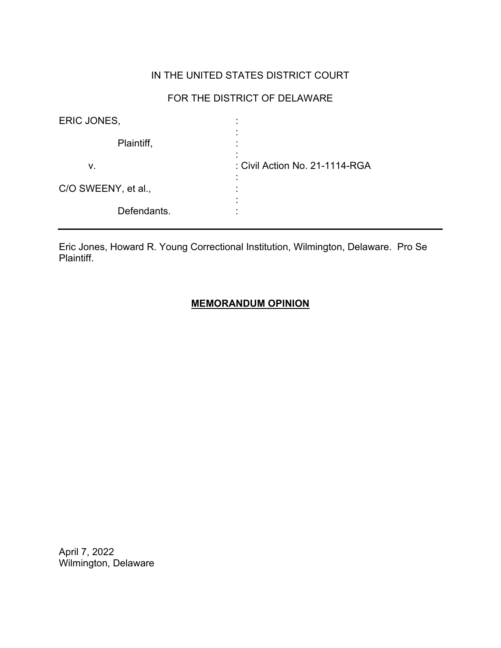# IN THE UNITED STATES DISTRICT COURT

## FOR THE DISTRICT OF DELAWARE

| ERIC JONES,         |                                |
|---------------------|--------------------------------|
| Plaintiff,          |                                |
| v.                  | : Civil Action No. 21-1114-RGA |
| C/O SWEENY, et al., |                                |
| Defendants.         |                                |

Eric Jones, Howard R. Young Correctional Institution, Wilmington, Delaware. Pro Se Plaintiff.

## **MEMORANDUM OPINION**

April 7, 2022 Wilmington, Delaware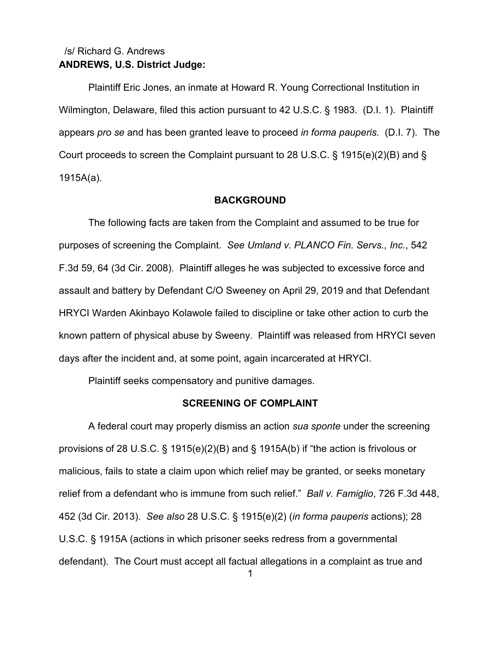## **ANDREWS, U.S. District Judge:** /s/ Richard G. Andrews

Plaintiff Eric Jones, an inmate at Howard R. Young Correctional Institution in Wilmington, Delaware, filed this action pursuant to 42 U.S.C. § 1983. (D.I. 1). Plaintiff appears *pro se* and has been granted leave to proceed *in forma pauperis.* (D.I. 7). The Court proceeds to screen the Complaint pursuant to 28 U.S.C. § 1915(e)(2)(B) and § 1915A(a).

#### **BACKGROUND**

The following facts are taken from the Complaint and assumed to be true for purposes of screening the Complaint. *See Umland v. PLANCO Fin. Servs., Inc.*, 542 F.3d 59, 64 (3d Cir. 2008). Plaintiff alleges he was subjected to excessive force and assault and battery by Defendant C/O Sweeney on April 29, 2019 and that Defendant HRYCI Warden Akinbayo Kolawole failed to discipline or take other action to curb the known pattern of physical abuse by Sweeny. Plaintiff was released from HRYCI seven days after the incident and, at some point, again incarcerated at HRYCI.

Plaintiff seeks compensatory and punitive damages.

### **SCREENING OF COMPLAINT**

A federal court may properly dismiss an action *sua sponte* under the screening provisions of 28 U.S.C. § 1915(e)(2)(B) and § 1915A(b) if "the action is frivolous or malicious, fails to state a claim upon which relief may be granted, or seeks monetary relief from a defendant who is immune from such relief." *Ball v. Famiglio*, 726 F.3d 448, 452 (3d Cir. 2013). *See also* 28 U.S.C. § 1915(e)(2) (*in forma pauperis* actions); 28 U.S.C. § 1915A (actions in which prisoner seeks redress from a governmental defendant). The Court must accept all factual allegations in a complaint as true and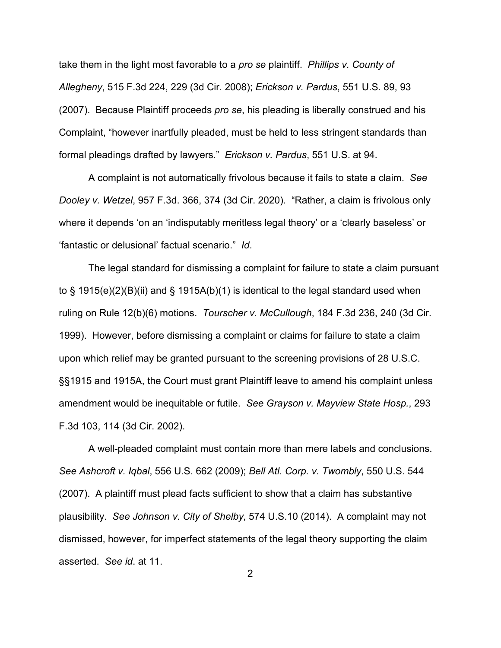take them in the light most favorable to a *pro se* plaintiff. *Phillips v. County of Allegheny*, 515 F.3d 224, 229 (3d Cir. 2008); *Erickson v. Pardus*, 551 U.S. 89, 93 (2007). Because Plaintiff proceeds *pro se*, his pleading is liberally construed and his Complaint, "however inartfully pleaded, must be held to less stringent standards than formal pleadings drafted by lawyers." *Erickson v. Pardus*, 551 U.S. at 94.

A complaint is not automatically frivolous because it fails to state a claim. *See Dooley v. Wetzel*, 957 F.3d. 366, 374 (3d Cir. 2020). "Rather, a claim is frivolous only where it depends 'on an 'indisputably meritless legal theory' or a 'clearly baseless' or 'fantastic or delusional' factual scenario." *Id*.

The legal standard for dismissing a complaint for failure to state a claim pursuant to § 1915(e)(2)(B)(ii) and § 1915A(b)(1) is identical to the legal standard used when ruling on Rule 12(b)(6) motions. *Tourscher v. McCullough*, 184 F.3d 236, 240 (3d Cir. 1999). However, before dismissing a complaint or claims for failure to state a claim upon which relief may be granted pursuant to the screening provisions of 28 U.S.C. §§1915 and 1915A, the Court must grant Plaintiff leave to amend his complaint unless amendment would be inequitable or futile. *See Grayson v. Mayview State Hosp.*, 293 F.3d 103, 114 (3d Cir. 2002).

A well-pleaded complaint must contain more than mere labels and conclusions. *See Ashcroft v. Iqbal*, 556 U.S. 662 (2009); *Bell Atl. Corp. v. Twombly*, 550 U.S. 544 (2007). A plaintiff must plead facts sufficient to show that a claim has substantive plausibility. *See Johnson v. City of Shelby*, 574 U.S.10 (2014). A complaint may not dismissed, however, for imperfect statements of the legal theory supporting the claim asserted. *See id*. at 11.

2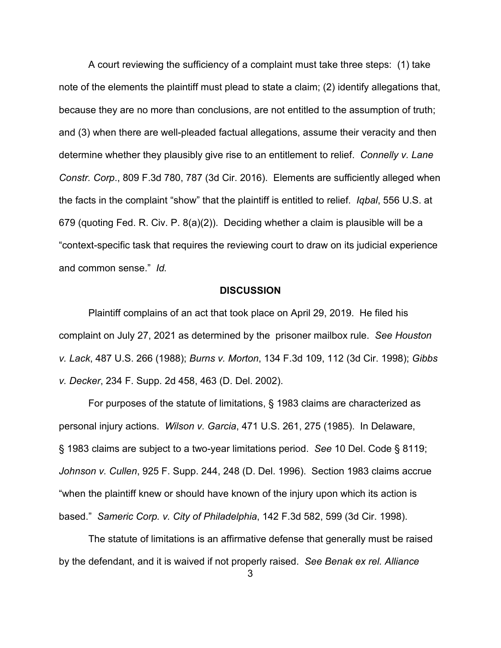A court reviewing the sufficiency of a complaint must take three steps: (1) take note of the elements the plaintiff must plead to state a claim; (2) identify allegations that, because they are no more than conclusions, are not entitled to the assumption of truth; and (3) when there are well-pleaded factual allegations, assume their veracity and then determine whether they plausibly give rise to an entitlement to relief. *Connelly v. Lane Constr. Corp*., 809 F.3d 780, 787 (3d Cir. 2016). Elements are sufficiently alleged when the facts in the complaint "show" that the plaintiff is entitled to relief. *Iqbal*, 556 U.S. at 679 (quoting Fed. R. Civ. P. 8(a)(2)). Deciding whether a claim is plausible will be a "context-specific task that requires the reviewing court to draw on its judicial experience and common sense." *Id.*

### **DISCUSSION**

Plaintiff complains of an act that took place on April 29, 2019. He filed his complaint on July 27, 2021 as determined by the prisoner mailbox rule. *See Houston v. Lack*, 487 U.S. 266 (1988); *Burns v. Morton*, 134 F.3d 109, 112 (3d Cir. 1998); *Gibbs v. Decker*, 234 F. Supp. 2d 458, 463 (D. Del. 2002).

For purposes of the statute of limitations, § 1983 claims are characterized as personal injury actions. *Wilson v. Garcia*, 471 U.S. 261, 275 (1985). In Delaware, § 1983 claims are subject to a two-year limitations period. *See* 10 Del. Code § 8119; *Johnson v. Cullen*, 925 F. Supp. 244, 248 (D. Del. 1996). Section 1983 claims accrue "when the plaintiff knew or should have known of the injury upon which its action is based." *Sameric Corp. v. City of Philadelphia*, 142 F.3d 582, 599 (3d Cir. 1998).

The statute of limitations is an affirmative defense that generally must be raised by the defendant, and it is waived if not properly raised. *See Benak ex rel. Alliance*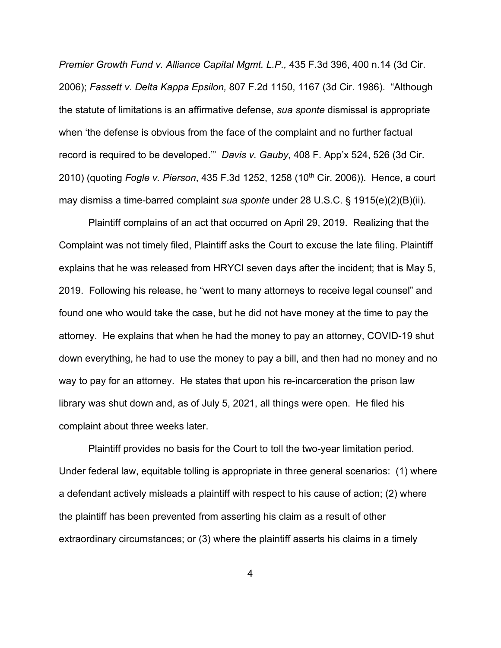*Premier Growth Fund v. Alliance Capital Mgmt. L.P.,* 435 F.3d 396, 400 n.14 (3d Cir. 2006); *Fassett v. Delta Kappa Epsilon,* 807 F.2d 1150, 1167 (3d Cir. 1986). "Although the statute of limitations is an affirmative defense, *sua sponte* dismissal is appropriate when 'the defense is obvious from the face of the complaint and no further factual record is required to be developed.'" *Davis v. Gauby*, 408 F. App'x 524, 526 (3d Cir. 2010) (quoting *Fogle v. Pierson*, 435 F.3d 1252, 1258 (10th Cir. 2006)). Hence, a court may dismiss a time-barred complaint *sua sponte* under 28 U.S.C. § 1915(e)(2)(B)(ii).

Plaintiff complains of an act that occurred on April 29, 2019. Realizing that the Complaint was not timely filed, Plaintiff asks the Court to excuse the late filing. Plaintiff explains that he was released from HRYCI seven days after the incident; that is May 5, 2019. Following his release, he "went to many attorneys to receive legal counsel" and found one who would take the case, but he did not have money at the time to pay the attorney. He explains that when he had the money to pay an attorney, COVID-19 shut down everything, he had to use the money to pay a bill, and then had no money and no way to pay for an attorney. He states that upon his re-incarceration the prison law library was shut down and, as of July 5, 2021, all things were open. He filed his complaint about three weeks later.

Plaintiff provides no basis for the Court to toll the two-year limitation period. Under federal law, equitable tolling is appropriate in three general scenarios: (1) where a defendant actively misleads a plaintiff with respect to his cause of action; (2) where the plaintiff has been prevented from asserting his claim as a result of other extraordinary circumstances; or (3) where the plaintiff asserts his claims in a timely

4